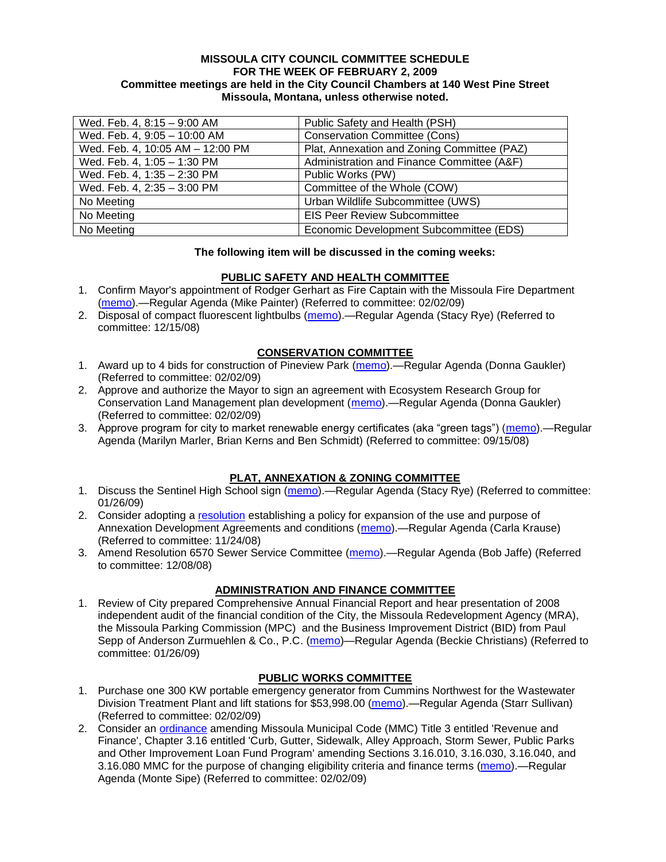#### **MISSOULA CITY COUNCIL COMMITTEE SCHEDULE FOR THE WEEK OF FEBRUARY 2, 2009 Committee meetings are held in the City Council Chambers at 140 West Pine Street Missoula, Montana, unless otherwise noted.**

| Wed. Feb. 4, 8:15 - 9:00 AM      | Public Safety and Health (PSH)              |
|----------------------------------|---------------------------------------------|
| Wed. Feb. 4, 9:05 - 10:00 AM     | <b>Conservation Committee (Cons)</b>        |
| Wed. Feb. 4, 10:05 AM - 12:00 PM | Plat, Annexation and Zoning Committee (PAZ) |
| Wed. Feb. 4, 1:05 - 1:30 PM      | Administration and Finance Committee (A&F)  |
| Wed. Feb. 4, 1:35 - 2:30 PM      | Public Works (PW)                           |
| Wed. Feb. 4, 2:35 - 3:00 PM      | Committee of the Whole (COW)                |
| No Meeting                       | Urban Wildlife Subcommittee (UWS)           |
| No Meeting                       | <b>EIS Peer Review Subcommittee</b>         |
| No Meeting                       | Economic Development Subcommittee (EDS)     |

#### **The following item will be discussed in the coming weeks:**

#### **PUBLIC SAFETY AND HEALTH COMMITTEE**

- 1. Confirm Mayor's appointment of Rodger Gerhart as Fire Captain with the Missoula Fire Department [\(memo\)](ftp://ftp.ci.missoula.mt.us/Packets/Council/2009/2009-02-02/Referrals/GerhartConfirmation.pdf).—Regular Agenda (Mike Painter) (Referred to committee: 02/02/09)
- 2. Disposal of compact fluorescent lightbulbs [\(memo\)](ftp://ftp.ci.missoula.mt.us/Packets/Council/2008/2008-12-15/Referrals/CFLreferral.pdf).—Regular Agenda (Stacy Rye) (Referred to committee: 12/15/08)

#### **CONSERVATION COMMITTEE**

- 1. Award up to 4 bids for construction of Pineview Park [\(memo\)](ftp://ftp.ci.missoula.mt.us/Packets/Council/2009/2009-02-02/Referrals/ReferralPineviewConstructionDRAFT1-27-09.pdf).—Regular Agenda (Donna Gaukler) (Referred to committee: 02/02/09)
- 2. Approve and authorize the Mayor to sign an agreement with Ecosystem Research Group for Conservation Land Management plan development [\(memo\)](ftp://ftp.ci.missoula.mt.us/Packets/Council/2009/2009-02-02/Referrals/CLMAgreementReferral/(2/).pdf).—Regular Agenda (Donna Gaukler) (Referred to committee: 02/02/09)
- 3. Approve program for city to market renewable energy certificates (aka "green tags") [\(memo\)](ftp://ftp.ci.missoula.mt.us/Packets/Council/2008/2008-09-15/Referrals/green_tags_referral.pdf).—Regular Agenda (Marilyn Marler, Brian Kerns and Ben Schmidt) (Referred to committee: 09/15/08)

## **PLAT, ANNEXATION & ZONING COMMITTEE**

- 1. Discuss the Sentinel High School sign [\(memo\)](ftp://ftp.ci.missoula.mt.us/Packets/Council/2009/2009-01-26/Referrals/SentinelSign.pdf).—Regular Agenda (Stacy Rye) (Referred to committee: 01/26/09)
- 2. Consider adopting a [resolution](ftp://ftp.ci.missoula.mt.us/Packets/Council/2008/2008-12-08/RESOLUTION-DevelopmentAgreements.pdf) establishing a policy for expansion of the use and purpose of Annexation Development Agreements and conditions [\(memo\)](ftp://ftp.ci.missoula.mt.us/Packets/Council/2008/2008-11-24/Referrals/REFERRAL-DevelopmentAgreements.pdf).—Regular Agenda (Carla Krause) (Referred to committee: 11/24/08)
- 3. Amend Resolution 6570 Sewer Service Committee [\(memo\)](ftp://ftp.ci.missoula.mt.us/Packets/Council/2008/2008-12-08/Referrals/SewerServiceCommittee.pdf).—Regular Agenda (Bob Jaffe) (Referred to committee: 12/08/08)

## **ADMINISTRATION AND FINANCE COMMITTEE**

1. Review of City prepared Comprehensive Annual Financial Report and hear presentation of 2008 independent audit of the financial condition of the City, the Missoula Redevelopment Agency (MRA), the Missoula Parking Commission (MPC) and the Business Improvement District (BID) from Paul Sepp of Anderson Zurmuehlen & Co., P.C. [\(memo\)](ftp://ftp.ci.missoula.mt.us/Packets/Council/2009/2009-01-26/Referrals/Audit08Referral.pdf)—Regular Agenda (Beckie Christians) (Referred to committee: 01/26/09)

## **PUBLIC WORKS COMMITTEE**

- 1. Purchase one 300 KW portable emergency generator from Cummins Northwest for the Wastewater Division Treatment Plant and lift stations for \$53,998.00 [\(memo\)](ftp://ftp.ci.missoula.mt.us/packets/council/2009/2009-02-02/Referrals/WWTPEmrgncyGnrtrREF.pdf).—Regular Agenda (Starr Sullivan) (Referred to committee: 02/02/09)
- 2. Consider an [ordinance](ftp://ftp.ci.missoula.mt.us/packets/council/2009/2009-02-02/Referrals/ImprvmntsLoanFundORD.pdf) amending Missoula Municipal Code (MMC) Title 3 entitled 'Revenue and Finance', Chapter 3.16 entitled 'Curb, Gutter, Sidewalk, Alley Approach, Storm Sewer, Public Parks and Other Improvement Loan Fund Program' amending Sections 3.16.010, 3.16.030, 3.16.040, and 3.16.080 MMC for the purpose of changing eligibility criteria and finance terms [\(memo\)](ftp://ftp.ci.missoula.mt.us/packets/council/2009/2009-02-02/Referrals/ImprvmntsLoanFundOrdREF .pdf).—Regular Agenda (Monte Sipe) (Referred to committee: 02/02/09)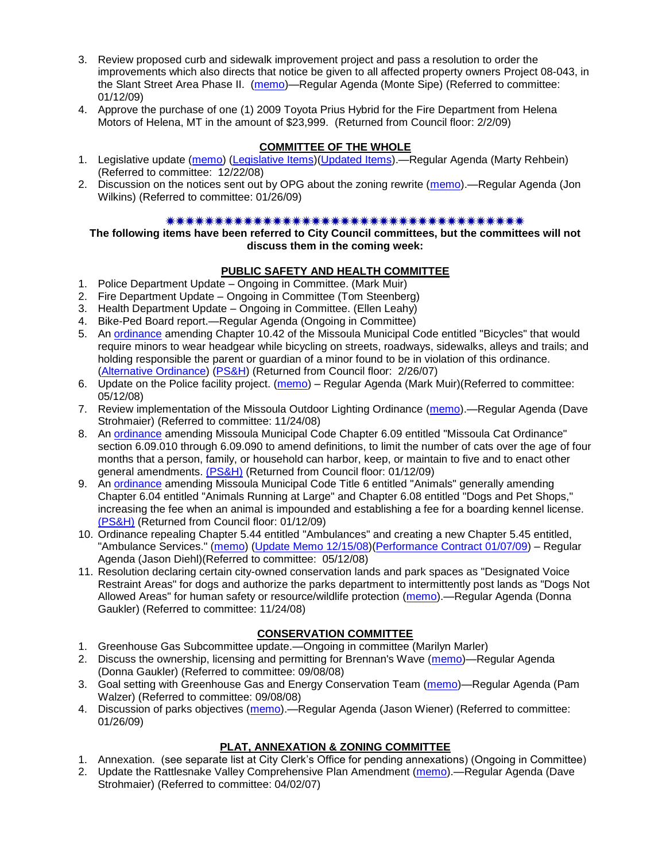- 3. Review proposed curb and sidewalk improvement project and pass a resolution to order the improvements which also directs that notice be given to all affected property owners Project 08-043, in the Slant Street Area Phase II. [\(memo\)](ftp://ftp.ci.missoula.mt.us/packets/council/2009/2009-01-12/Referrals/SdwlkRes08043REF.pdf)—Regular Agenda (Monte Sipe) (Referred to committee: 01/12/09)
- 4. Approve the purchase of one (1) 2009 Toyota Prius Hybrid for the Fire Department from Helena Motors of Helena, MT in the amount of \$23,999. (Returned from Council floor: 2/2/09)

## **COMMITTEE OF THE WHOLE**

- 1. Legislative update [\(memo\)](ftp://ftp.ci.missoula.mt.us/Packets/Council/2008/2008-12-22/Referrals/LegislativeUpdate.pdf) [\(Legislative Items\)](ftp://ftp.ci.missoula.mt.us/Documents/Mayor/Legislat/09BillsHigh.pdf)[\(Updated Items\)](ftp://ftp.ci.missoula.mt.us/Packets/Council/2009/2009-02-02/COWFeb4.pdf).—Regular Agenda (Marty Rehbein) (Referred to committee: 12/22/08)
- 2. Discussion on the notices sent out by OPG about the zoning rewrite [\(memo\)](ftp://ftp.ci.missoula.mt.us/Packets/Council/2009/2009-01-26/Referrals/ZoningNotices.pdf).—Regular Agenda (Jon Wilkins) (Referred to committee: 01/26/09)

## 

**The following items have been referred to City Council committees, but the committees will not discuss them in the coming week:**

## **PUBLIC SAFETY AND HEALTH COMMITTEE**

- 1. Police Department Update Ongoing in Committee. (Mark Muir)
- 2. Fire Department Update Ongoing in Committee (Tom Steenberg)
- 3. Health Department Update Ongoing in Committee. (Ellen Leahy)
- 4. Bike-Ped Board report.—Regular Agenda (Ongoing in Committee)
- 5. An [ordinance](ftp://ftp.ci.missoula.mt.us/Packets/Council/2007/2007-02-05/07-01-31 Helmet and bikes psh.htm) amending Chapter 10.42 of the Missoula Municipal Code entitled "Bicycles" that would require minors to wear headgear while bicycling on streets, roadways, sidewalks, alleys and trails; and holding responsible the parent or guardian of a minor found to be in violation of this ordinance. [\(Alternative Ordinance\)](ftp://ftp.ci.missoula.mt.us/Packets/Council/2007/2007-02-26/07-02-19_Alternative_Helmet_and_bikes.htm) [\(PS&H\)](ftp://ftp.ci.missoula.mt.us/Packets/Council/2007/2007-02-05/070131psh.pdf) (Returned from Council floor: 2/26/07)
- 6. Update on the Police facility project. [\(memo\)](ftp://ftp.ci.missoula.mt.us/Packets/Council/2008/2008-05-12/Referrals/Buildingpresentationreferral.htm) Regular Agenda (Mark Muir)(Referred to committee: 05/12/08)
- 7. Review implementation of the Missoula Outdoor Lighting Ordinance [\(memo\)](ftp://ftp.ci.missoula.mt.us/Packets/Council/2008/2008-11-24/Referrals/Outdoor_Lighting_Ordinance_Review.pdf).—Regular Agenda (Dave Strohmaier) (Referred to committee: 11/24/08)
- 8. An [ordinance](ftp://ftp.ci.missoula.mt.us/Packets/Council/2008/2008-12-15/2008CatOrdinanceAmendment%5B1%5D.pdf) amending Missoula Municipal Code Chapter 6.09 entitled "Missoula Cat Ordinance" section 6.09.010 through 6.09.090 to amend definitions, to limit the number of cats over the age of four months that a person, family, or household can harbor, keep, or maintain to five and to enact other general amendments. [\(PS&H\)](ftp://ftp.ci.missoula.mt.us/Packets/Council/2008/2008-12-15/081210psh.pdf) (Returned from Council floor: 01/12/09)
- 9. An [ordinance](ftp://ftp.ci.missoula.mt.us/Packets/Council/2008/2008-12-15/DogOrdinance--PSHrevisions.pdf) amending Missoula Municipal Code Title 6 entitled "Animals" generally amending Chapter 6.04 entitled "Animals Running at Large" and Chapter 6.08 entitled "Dogs and Pet Shops," increasing the fee when an animal is impounded and establishing a fee for a boarding kennel license. [\(PS&H\)](ftp://ftp.ci.missoula.mt.us/Packets/Council/2008/2008-12-15/081210psh.pdf) (Returned from Council floor: 01/12/09)
- 10. Ordinance repealing Chapter 5.44 entitled "Ambulances" and creating a new Chapter 5.45 entitled, "Ambulance Services." [\(memo\)](ftp://ftp.ci.missoula.mt.us/Packets/Council/2008/2008-05-12/Referrals/080508AmbulanceOrdinanceReferral.htm) [\(Update Memo 12/15/08\)](ftp://ftp.ci.missoula.mt.us/Packets/Council/2008/2008-12-15/081212AmbulanceOrdinanceReferralUpdated.pdf)[\(Performance Contract 01/07/09\)](ftp://ftp.ci.missoula.mt.us/Packets/Council/2009/2009-01-12/MESIPerformanceContract090107.pdf) – Regular Agenda (Jason Diehl)(Referred to committee: 05/12/08)
- 11. Resolution declaring certain city-owned conservation lands and park spaces as "Designated Voice Restraint Areas" for dogs and authorize the parks department to intermittently post lands as "Dogs Not Allowed Areas" for human safety or resource/wildlife protection [\(memo\)](ftp://ftp.ci.missoula.mt.us/Packets/Council/2008/2008-11-24/Referrals/VoiceRestraintReferral.pdf).—Regular Agenda (Donna Gaukler) (Referred to committee: 11/24/08)

# **CONSERVATION COMMITTEE**

- 1. Greenhouse Gas Subcommittee update.—Ongoing in committee (Marilyn Marler)
- 2. Discuss the ownership, licensing and permitting for Brennan's Wave [\(memo\)](ftp://ftp.ci.missoula.mt.us/Packets/Council/2008/2008-09-08/Referrals/ReferralBrennansWaveLicensing.pdf)—Regular Agenda (Donna Gaukler) (Referred to committee: 09/08/08)
- 3. Goal setting with Greenhouse Gas and Energy Conservation Team [\(memo\)](ftp://ftp.ci.missoula.mt.us/Packets/Council/2008/2008-09-08/Referrals/GGECTdialog.pdf)—Regular Agenda (Pam Walzer) (Referred to committee: 09/08/08)
- 4. Discussion of parks objectives [\(memo\)](ftp://ftp.ci.missoula.mt.us/Packets/Council/2009/2009-01-26/Referrals/parks_projects_referral.pdf).—Regular Agenda (Jason Wiener) (Referred to committee: 01/26/09)

# **PLAT, ANNEXATION & ZONING COMMITTEE**

- 1. Annexation. (see separate list at City Clerk's Office for pending annexations) (Ongoing in Committee)
- 2. Update the Rattlesnake Valley Comprehensive Plan Amendment [\(memo\)](ftp://ftp.ci.missoula.mt.us/Packets/Council/2007/2007-04-02/Referrals/Rattlesnake_Plan_Update_referral.pdf).—Regular Agenda (Dave Strohmaier) (Referred to committee: 04/02/07)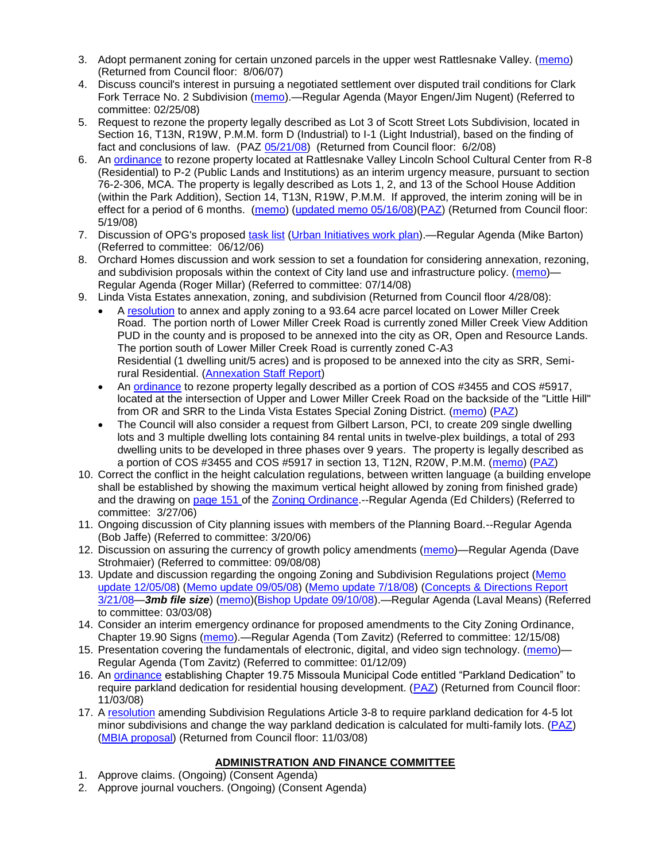- 3. Adopt permanent zoning for certain unzoned parcels in the upper west Rattlesnake Valley. [\(memo\)](ftp://ftp.ci.missoula.mt.us/Packets/Council/2007/2007-03-26/Referrals/P-1_zoning_ref.htm) (Returned from Council floor: 8/06/07)
- 4. Discuss council's interest in pursuing a negotiated settlement over disputed trail conditions for Clark Fork Terrace No. 2 Subdivision [\(memo\)](ftp://ftp.ci.missoula.mt.us/Packets/Council/2008/2008-02-25/Referrals/Clark_Fork_Terrace_2.pdf).—Regular Agenda (Mayor Engen/Jim Nugent) (Referred to committee: 02/25/08)
- 5. Request to rezone the property legally described as Lot 3 of Scott Street Lots Subdivision, located in Section 16, T13N, R19W, P.M.M. form D (Industrial) to I-1 (Light Industrial), based on the finding of fact and conclusions of law. (PAZ [05/21/08\)](ftp://ftp.ci.missoula.mt.us/Packets/Council/2008/2008-06-02/080521paz.pdf) (Returned from Council floor: 6/2/08)
- 6. An [ordinance](ftp://ftp.ci.missoula.mt.us/Packets/Council/2008/2008-05-19/Public_Hearings/LincolnSchoolInterimP-2ord.pdf) to rezone property located at Rattlesnake Valley Lincoln School Cultural Center from R-8 (Residential) to P-2 (Public Lands and Institutions) as an interim urgency measure, pursuant to section 76-2-306, MCA. The property is legally described as Lots 1, 2, and 13 of the School House Addition (within the Park Addition), Section 14, T13N, R19W, P.M.M. If approved, the interim zoning will be in effect for a period of 6 months. [\(memo\)](ftp://ftp.ci.missoula.mt.us/Packets/Council/2008/2008-05-19/Public_Hearings/LincolnSchoolInterimPermZonMemo.pdf) [\(updated memo 05/16/08\)](ftp://ftp.ci.missoula.mt.us/Packets/Council/2008/2008-05-19/Public_Hearings/LincolnSchoolInterimPermZonMemo.pdf)[\(PAZ\)](ftp://ftp.ci.missoula.mt.us/Packets/Council/2008/2008-05-12/080507paz.htm) (Returned from Council floor: 5/19/08)
- 7. Discussion of OPG's proposed [task list](ftp://ftp.ci.missoula.mt.us/Packets/Council/2008/2008-07-07/UITaskList.pdf) [\(Urban Initiatives work plan\)](ftp://ftp.ci.missoula.mt.us/Packets/Council/2006/2006-06-12/Referrals/Urban_Init.htm).—Regular Agenda (Mike Barton) (Referred to committee: 06/12/06)
- 8. Orchard Homes discussion and work session to set a foundation for considering annexation, rezoning, and subdivision proposals within the context of City land use and infrastructure policy. [\(memo\)](ftp://ftp.ci.missoula.mt.us/Packets/Council/2008/2008-07-14/Referrals/OrchardHomesDiscMemo.pdf)— Regular Agenda (Roger Millar) (Referred to committee: 07/14/08)
- 9. Linda Vista Estates annexation, zoning, and subdivision (Returned from Council floor 4/28/08):
	- A [resolution](ftp://ftp.ci.missoula.mt.us/Packets/Council/2008/2008-04-28/Public_Hearings/RESOLUTION-LindaVistaEstates.pdf) to annex and apply zoning to a 93.64 acre parcel located on Lower Miller Creek Road. The portion north of Lower Miller Creek Road is currently zoned Miller Creek View Addition PUD in the county and is proposed to be annexed into the city as OR, Open and Resource Lands. The portion south of Lower Miller Creek Road is currently zoned C-A3 Residential (1 dwelling unit/5 acres) and is proposed to be annexed into the city as SRR, Semirural Residential. [\(Annexation Staff Report\)](ftp://ftp.ci.missoula.mt.us/Packets/Council/2008/2008-04-28/Public_Hearings/LindaVistaEstatesStaffReport.pdf)
	- An [ordinance](ftp://ftp.ci.missoula.mt.us/Packets/Council/2008/2008-04-28/Public_Hearings/LindaVistaEstatesProposedord.pdf) to rezone property legally described as a portion of COS #3455 and COS #5917, located at the intersection of Upper and Lower Miller Creek Road on the backside of the "Little Hill" from OR and SRR to the Linda Vista Estates Special Zoning District. [\(memo\)](ftp://ftp.ci.missoula.mt.us/Packets/Council/2008/2008-04-14/Referrals/LindaVistaEstatesMemo.pdf) [\(PAZ\)](ftp://ftp.ci.missoula.mt.us/Packets/Council/2008/2008-04-28/080423paz.pdf)
	- The Council will also consider a request from Gilbert Larson, PCI, to create 209 single dwelling lots and 3 multiple dwelling lots containing 84 rental units in twelve-plex buildings, a total of 293 dwelling units to be developed in three phases over 9 years. The property is legally described as a portion of COS #3455 and COS #5917 in section 13, T12N, R20W, P.M.M. [\(memo\)](ftp://ftp.ci.missoula.mt.us/Packets/Council/2008/2008-04-14/Referrals/LindaVistaEstatesMemo.doc) [\(PAZ\)](ftp://ftp.ci.missoula.mt.us/Packets/Council/2008/2008-04-28/080423paz.pdf)
- 10. Correct the conflict in the height calculation regulations, between written language (a building envelope shall be established by showing the maximum vertical height allowed by zoning from finished grade) and the drawing on [page 151 o](ftp://www.co.missoula.mt.us/opg2/Documents/CurrentRegulations/CityZoningTitle19/CH19.67Hillside.pdf)f the [Zoning Ordinance.](ftp://www.co.missoula.mt.us/opg2/Documents/CurrentRegulations/CityZoningTitle19/CityOrdinanceLP.htm)--Regular Agenda (Ed Childers) (Referred to committee: 3/27/06)
- 11. Ongoing discussion of City planning issues with members of the Planning Board.--Regular Agenda (Bob Jaffe) (Referred to committee: 3/20/06)
- 12. Discussion on assuring the currency of growth policy amendments [\(memo\)](ftp://ftp.ci.missoula.mt.us/Packets/Council/2008/2008-09-08/Referrals/Plan_updates.pdf)—Regular Agenda (Dave Strohmaier) (Referred to committee: 09/08/08)
- 13. Update and discussion regarding the ongoing Zoning and Subdivision Regulations project (Memo [update 12/05/08\)](ftp://ftp.ci.missoula.mt.us/Packets/Council/2008/2008-12-08/Referrals/ReferralCodeUpdateMemo.pdf) [\(Memo update 09/05/08\)](ftp://ftp.ci.missoula.mt.us/Packets/Council/2008/2008-09-08/Referrals/ReferralCodeUpdateMemo.pdf) [\(Memo update 7/18/08\)](ftp://ftp.ci.missoula.mt.us/Packets/Council/2008/2008-07-21/Referrals/CodeUpdate071808.pdf) [\(Concepts & Directions Report](ftp://www.co.missoula.mt.us/opgftp/Urban/ZoningReDo/PublicReviewDraft032108.pdf)  [3/21/08—](ftp://www.co.missoula.mt.us/opgftp/Urban/ZoningReDo/PublicReviewDraft032108.pdf)*3mb file size*) [\(memo\)](ftp://ftp.ci.missoula.mt.us/Packets/Council/2008/2008-03-03/Referrals/AdvisoryGroupDraftMemo.pdf)[\(Bishop Update 09/10/08\)](ftp://ftp.ci.missoula.mt.us/Packets/Council/2008/2008-09-15/ZoningSubdivisionRegs.pdf).—Regular Agenda (Laval Means) (Referred to committee: 03/03/08)
- 14. Consider an interim emergency ordinance for proposed amendments to the City Zoning Ordinance, Chapter 19.90 Signs [\(memo\)](ftp://ftp.ci.missoula.mt.us/Packets/Council/2008/2008-12-15/Referrals/ElectronicSignOrdinanceMemo.pdf).—Regular Agenda (Tom Zavitz) (Referred to committee: 12/15/08)
- 15. Presentation covering the fundamentals of electronic, digital, and video sign technology. [\(memo\)](ftp://ftp.ci.missoula.mt.us/Packets/Council/2009/2009-01-12/Referrals/SignPresentationMemo.pdf) Regular Agenda (Tom Zavitz) (Referred to committee: 01/12/09)
- 16. An [ordinance](ftp://ftp.ci.missoula.mt.us/Packets/Council/2008/2008-09-22/Referrals/OrdinanceChap19-75.pdf) establishing Chapter 19.75 Missoula Municipal Code entitled "Parkland Dedication" to require parkland dedication for residential housing development. [\(PAZ\)](ftp://ftp.ci.missoula.mt.us/Packets/Council/2008/2008-10-06/080924paz.pdf) (Returned from Council floor: 11/03/08)
- 17. A [resolution](ftp://ftp.ci.missoula.mt.us/Packets/Council/2008/2008-10-06/parkres.pdf) amending Subdivision Regulations Article 3-8 to require parkland dedication for 4-5 lot minor subdivisions and change the way parkland dedication is calculated for multi-family lots. [\(PAZ\)](ftp://ftp.ci.missoula.mt.us/Packets/Council/2008/2008-10-06/080924paz.pdf) [\(MBIA proposal\)](ftp://ftp.ci.missoula.mt.us/Packets/Council/2009/2009-01-12/Referrals/MBIA_Parkland_Proposal.pdf) (Returned from Council floor: 11/03/08)

# **ADMINISTRATION AND FINANCE COMMITTEE**

- 1. Approve claims. (Ongoing) (Consent Agenda)
- 2. Approve journal vouchers. (Ongoing) (Consent Agenda)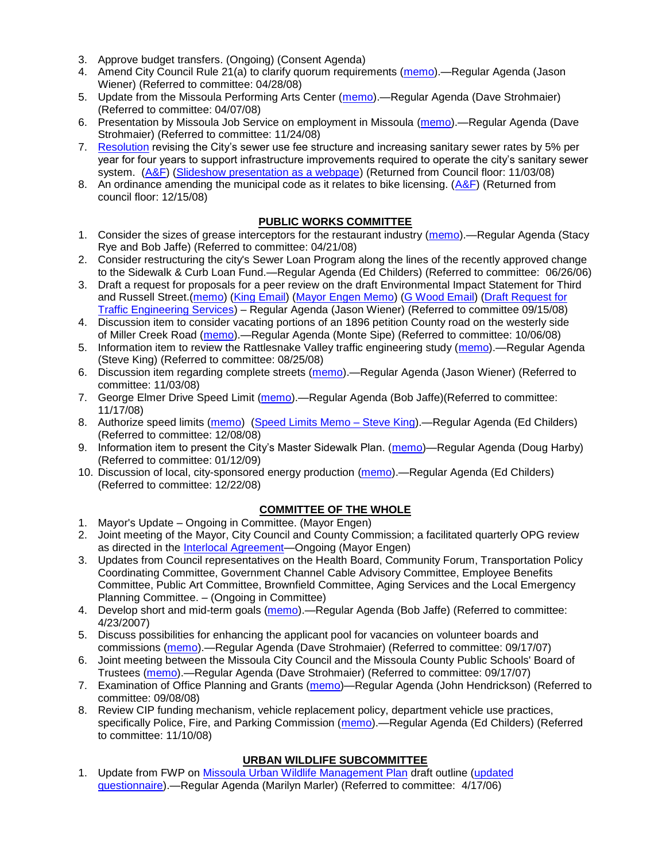- 3. Approve budget transfers. (Ongoing) (Consent Agenda)
- 4. Amend City Council Rule 21(a) to clarify quorum requirements [\(memo\)](ftp://ftp.ci.missoula.mt.us/Packets/Council/2008/2008-04-28/Referrals/CouncilRule21aReferral.pdf).—Regular Agenda (Jason Wiener) (Referred to committee: 04/28/08)
- 5. Update from the Missoula Performing Arts Center [\(memo\)](ftp://ftp.ci.missoula.mt.us/Packets/Council/2008/2008-04-07/Referrals/Performing_Arts_Center.pdf).—Regular Agenda (Dave Strohmaier) (Referred to committee: 04/07/08)
- 6. Presentation by Missoula Job Service on employment in Missoula [\(memo\)](ftp://ftp.ci.missoula.mt.us/Packets/Council/2008/2008-11-24/Referrals/Missoula_Job_Service.pdf).—Regular Agenda (Dave Strohmaier) (Referred to committee: 11/24/08)
- 7. [Resolution](ftp://ftp.ci.missoula.mt.us/Packets/Council/2008/2008-09-22/referrals/Sewerrateresolution.pdf) revising the City's sewer use fee structure and increasing sanitary sewer rates by 5% per year for four years to support infrastructure improvements required to operate the city's sanitary sewer system. [\(A&F\)](ftp://ftp.ci.missoula.mt.us/Packets/Council/2008/2008-10-06/081001af.pdf) [\(Slideshow presentation as a webpage\)](ftp://ftp.ci.missoula.mt.us/Packets/Council/2008/2008-11-03/2008-11-03SewerUserRateIncrease_files/frame.htm) (Returned from Council floor: 11/03/08)
- 8. An ordinance amending the municipal code as it relates to bike licensing.  $(A&F)$  (Returned from council floor: 12/15/08)

## **PUBLIC WORKS COMMITTEE**

- 1. Consider the sizes of grease interceptors for the restaurant industry [\(memo\)](ftp://ftp.ci.missoula.mt.us/Packets/Council/2008/2008-04-21/Referrals/Industrial_waste_restaurants.pdf).—Regular Agenda (Stacy Rye and Bob Jaffe) (Referred to committee: 04/21/08)
- 2. Consider restructuring the city's Sewer Loan Program along the lines of the recently approved change to the Sidewalk & Curb Loan Fund.—Regular Agenda (Ed Childers) (Referred to committee: 06/26/06)
- 3. Draft a request for proposals for a peer review on the draft Environmental Impact Statement for Third and Russell Street.[\(memo\)](ftp://ftp.ci.missoula.mt.us/Packets/Council/2008/2008-09-22/Referrals/3rdRussell_peer_review_referral.pdf) [\(King Email\)](ftp://ftp.ci.missoula.mt.us/Packets/Council/2008/2008-11-24/SKingEmailEISPeerReviewUpdate.pdf) [\(Mayor Engen Memo\)](ftp://ftp.ci.missoula.mt.us/Packets/Council/2008/2008-11-24/RussellThirdEngenMemo111508.pdf) [\(G Wood Email\)](ftp://ftp.ci.missoula.mt.us/Packets/Council/2008/2008-11-24/GWoodEmailEISPeerReviewUpdate.pdf) [\(Draft Request for](ftp://ftp.ci.missoula.mt.us/Packets/Council/2008/2008-11-24/TrafficEngrngSrvcsRqst.pdf)  [Traffic Engineering Services\)](ftp://ftp.ci.missoula.mt.us/Packets/Council/2008/2008-11-24/TrafficEngrngSrvcsRqst.pdf) – Regular Agenda (Jason Wiener) (Referred to committee 09/15/08)
- 4. Discussion item to consider vacating portions of an 1896 petition County road on the westerly side of Miller Creek Road [\(memo\)](ftp://ftp.ci.missoula.mt.us/packets/council/2008/2008-10-06/Referrals/MllrCkROWVacREF.pdf).—Regular Agenda (Monte Sipe) (Referred to committee: 10/06/08)
- 5. Information item to review the Rattlesnake Valley traffic engineering study [\(memo\)](ftp://ftp.ci.missoula.mt.us/packets/council/2008/2008-08-25/Referrals/RsnakeTrfficStudyREF.pdf).—Regular Agenda (Steve King) (Referred to committee: 08/25/08)
- 6. Discussion item regarding complete streets [\(memo\)](ftp://ftp.ci.missoula.mt.us/Packets/Council/2008/2008-11-03/Referrals/completestreetsreferral.pdf).—Regular Agenda (Jason Wiener) (Referred to committee: 11/03/08)
- 7. George Elmer Drive Speed Limit [\(memo\)](ftp://ftp.ci.missoula.mt.us/Packets/Council/2008/2008-11-17/Referrals/GeorgeElmerSpeedLimit.pdf).—Regular Agenda (Bob Jaffe)(Referred to committee: 11/17/08)
- 8. Authorize speed limits [\(memo\)](ftp://ftp.ci.missoula.mt.us/Packets/Council/2008/2008-12-08/Referrals/ReferralAuthorizeSpeedLimits.pdf) [\(Speed Limits Memo –](ftp://ftp.ci.missoula.mt.us/packets/council/2008/2008-12-15/Referrals/SpeedLimitMemo.pdf) Steve King).—Regular Agenda (Ed Childers) (Referred to committee: 12/08/08)
- 9. Information item to present the City's Master Sidewalk Plan. [\(memo\)](ftp://ftp.ci.missoula.mt.us/packets/council/2009/2009-01-12/Referrals/MstrSdwlkPlnREF.pdf)—Regular Agenda (Doug Harby) (Referred to committee: 01/12/09)
- 10. Discussion of local, city-sponsored energy production [\(memo\)](ftp://ftp.ci.missoula.mt.us/Packets/Council/2008/2008-12-22/Referrals/LocaLPowerReferral.pdf).—Regular Agenda (Ed Childers) (Referred to committee: 12/22/08)

# **COMMITTEE OF THE WHOLE**

- 1. Mayor's Update Ongoing in Committee. (Mayor Engen)
- 2. Joint meeting of the Mayor, City Council and County Commission; a facilitated quarterly OPG review as directed in the [Interlocal Agreement—](ftp://ftp.ci.missoula.mt.us/Documents/Mayor/OPG/Adopted-ILA-2005.pdf)Ongoing (Mayor Engen)
- 3. Updates from Council representatives on the Health Board, Community Forum, Transportation Policy Coordinating Committee, Government Channel Cable Advisory Committee, Employee Benefits Committee, Public Art Committee, Brownfield Committee, Aging Services and the Local Emergency Planning Committee. – (Ongoing in Committee)
- 4. Develop short and mid-term goals [\(memo\)](ftp://ftp.ci.missoula.mt.us/Packets/Council/2007/2007-04-23/Referrals/Council_Goals.pdf).—Regular Agenda (Bob Jaffe) (Referred to committee: 4/23/2007)
- 5. Discuss possibilities for enhancing the applicant pool for vacancies on volunteer boards and commissions [\(memo\)](ftp://ftp.ci.missoula.mt.us/Packets/Council/2007/2007-09-17/Referrals/board_and_commission_recruitment.pdf).—Regular Agenda (Dave Strohmaier) (Referred to committee: 09/17/07)
- 6. Joint meeting between the Missoula City Council and the Missoula County Public Schools' Board of Trustees [\(memo\)](ftp://ftp.ci.missoula.mt.us/Packets/Council/2007/2007-09-17/Referrals/Council_School_Board_referral.pdf).—Regular Agenda (Dave Strohmaier) (Referred to committee: 09/17/07)
- 7. Examination of Office Planning and Grants [\(memo\)](ftp://ftp.ci.missoula.mt.us/Packets/Council/2008/2008-09-08/Referrals/080825HendricksonOPGreferral.pdf)—Regular Agenda (John Hendrickson) (Referred to committee: 09/08/08)
- 8. Review CIP funding mechanism, vehicle replacement policy, department vehicle use practices, specifically Police, Fire, and Parking Commission [\(memo\)](ftp://ftp.ci.missoula.mt.us/Packets/Council/2008/2008-11-10/Referrals/ReviewBudgetary.pdf).—Regular Agenda (Ed Childers) (Referred to committee: 11/10/08)

# **URBAN WILDLIFE SUBCOMMITTEE**

1. Update from FWP on [Missoula Urban Wildlife Management Plan](ftp://ftp.ci.missoula.mt.us/Packets/Council/2006/2006-05-22/UW_mgmt_plan.htm) draft outline [\(updated](ftp://ftp.ci.missoula.mt.us/Packets/Council/2006/2006-09-25/Referrals/060925_UWS_Survey.htm)  [questionnaire\)](ftp://ftp.ci.missoula.mt.us/Packets/Council/2006/2006-09-25/Referrals/060925_UWS_Survey.htm).—Regular Agenda (Marilyn Marler) (Referred to committee: 4/17/06)